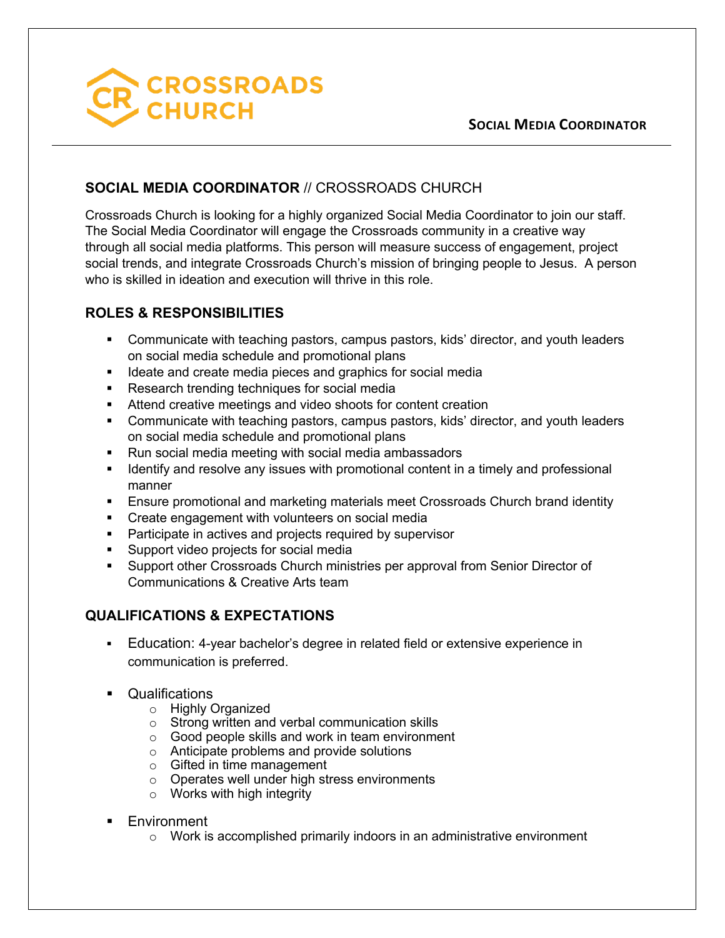

### **SOCIAL MEDIA COORDINATOR**

## **SOCIAL MEDIA COORDINATOR** // CROSSROADS CHURCH

Crossroads Church is looking for a highly organized Social Media Coordinator to join our staff. The Social Media Coordinator will engage the Crossroads community in a creative way through all social media platforms. This person will measure success of engagement, project social trends, and integrate Crossroads Church's mission of bringing people to Jesus. A person who is skilled in ideation and execution will thrive in this role.

### **ROLES & RESPONSIBILITIES**

- Communicate with teaching pastors, campus pastors, kids' director, and youth leaders on social media schedule and promotional plans
- Ideate and create media pieces and graphics for social media
- Research trending techniques for social media
- Attend creative meetings and video shoots for content creation
- § Communicate with teaching pastors, campus pastors, kids' director, and youth leaders on social media schedule and promotional plans
- Run social media meeting with social media ambassadors
- **■** Identify and resolve any issues with promotional content in a timely and professional manner
- **Ensure promotional and marketing materials meet Crossroads Church brand identity**
- Create engagement with volunteers on social media
- Participate in actives and projects required by supervisor
- § Support video projects for social media
- Support other Crossroads Church ministries per approval from Senior Director of Communications & Creative Arts team

# **QUALIFICATIONS & EXPECTATIONS**

- § Education: 4-year bachelor's degree in related field or extensive experience in communication is preferred.
- § Qualifications
	- o Highly Organized
	- o Strong written and verbal communication skills
	- o Good people skills and work in team environment
	- o Anticipate problems and provide solutions
	- o Gifted in time management
	- o Operates well under high stress environments
	- o Works with high integrity
- Environment
	- o Work is accomplished primarily indoors in an administrative environment